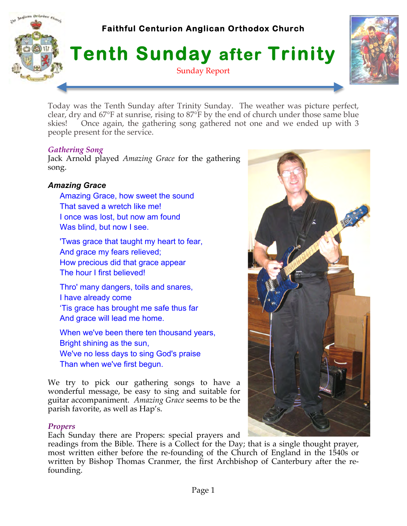# Inglican Orthodox Church **Faithful Centurion Anglican Orthodox Church Tenth Sunday after Trinity** Sunday Report



Today was the Tenth Sunday after Trinity Sunday. The weather was picture perfect, clear, dry and 67°F at sunrise, rising to 87°F by the end of church under those same blue skies! Once again, the gathering song gathered not one and we ended up with 3 people present for the service.

## *Gathering Song*

Jack Arnold played *Amazing Grace* for the gathering song.

# *Amazing Grace*

- Amazing Grace, how sweet the sound That saved a wretch like me! I once was lost, but now am found Was blind, but now I see.
- 'Twas grace that taught my heart to fear, And grace my fears relieved; How precious did that grace appear The hour I first believed!
- Thro' many dangers, toils and snares, I have already come 'Tis grace has brought me safe thus far And grace will lead me home.
- When we've been there ten thousand years, Bright shining as the sun, We've no less days to sing God's praise Than when we've first begun.

We try to pick our gathering songs to have a wonderful message, be easy to sing and suitable for guitar accompaniment. *Amazing Grace* seems to be the parish favorite, as well as Hap's.

# *Propers*

Each Sunday there are Propers: special prayers and

readings from the Bible. There is a Collect for the Day; that is a single thought prayer, most written either before the re-founding of the Church of England in the 1540s or written by Bishop Thomas Cranmer, the first Archbishop of Canterbury after the refounding.

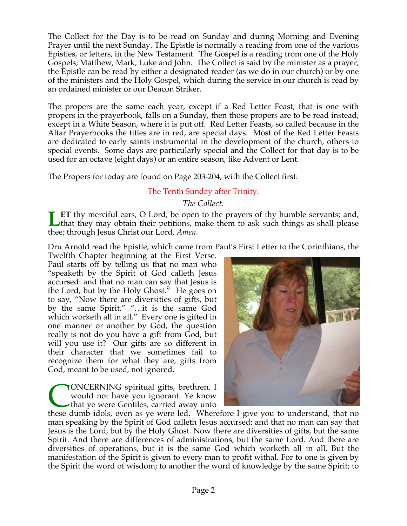The Collect for the Day is to be read on Sunday and during Morning and Evening Prayer until the next Sunday. The Epistle is normally a reading from one of the various Epistles, or letters, in the New Testament. The Gospel is a reading from one of the Holy Gospels; Matthew, Mark, Luke and John. The Collect is said by the minister as a prayer, the Epistle can be read by either a designated reader (as we do in our church) or by one of the ministers and the Holy Gospel, which during the service in our church is read by an ordained minister or our Deacon Striker.

The propers are the same each year, except if a Red Letter Feast, that is one with propers in the prayerbook, falls on a Sunday, then those propers are to be read instead, except in a White Season, where it is put off. Red Letter Feasts, so called because in the Altar Prayerbooks the titles are in red, are special days. Most of the Red Letter Feasts are dedicated to early saints instrumental in the development of the church, others to special events. Some days are particularly special and the Collect for that day is to be used for an octave (eight days) or an entire season, like Advent or Lent.

The Propers for today are found on Page 203-204, with the Collect first:

# The Tenth Sunday after Trinity.

# *The Collect.*

**ET** thy merciful ears, O Lord, be open to the prayers of thy humble servants; and, that they may obtain their petitions, make them to ask such things as shall please thee; through Jesus Christ our Lord. *Amen.* **L**

Dru Arnold read the Epistle, which came from Paul's First Letter to the Corinthians, the

Twelfth Chapter beginning at the First Verse. Paul starts off by telling us that no man who "speaketh by the Spirit of God calleth Jesus accursed: and that no man can say that Jesus is the Lord, but by the Holy Ghost." He goes on to say, "Now there are diversities of gifts, but by the same Spirit." "…it is the same God which worketh all in all." Every one is gifted in one manner or another by God, the question really is not do you have a gift from God, but will you use it? Our gifts are so different in their character that we sometimes fail to recognize them for what they are, gifts from God, meant to be used, not ignored.

ONCERNING spiritual gifts, brethren, I would not have you ignorant. Ye know that ye were Gentiles, carried away unto **CONCERNING** spiritual gifts, brethren, I<br>would not have you ignorant. Ye know<br>that ye were Gentiles, carried away unto<br>these dumb idols, even as ye were led. Wherefore I give you to understand, that no



man speaking by the Spirit of God calleth Jesus accursed: and that no man can say that Jesus is the Lord, but by the Holy Ghost. Now there are diversities of gifts, but the same Spirit. And there are differences of administrations, but the same Lord. And there are diversities of operations, but it is the same God which worketh all in all. But the manifestation of the Spirit is given to every man to profit withal. For to one is given by the Spirit the word of wisdom; to another the word of knowledge by the same Spirit; to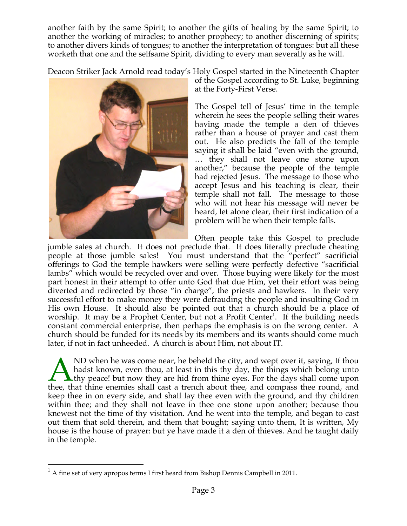another faith by the same Spirit; to another the gifts of healing by the same Spirit; to another the working of miracles; to another prophecy; to another discerning of spirits; to another divers kinds of tongues; to another the interpretation of tongues: but all these worketh that one and the selfsame Spirit, dividing to every man severally as he will.

Deacon Striker Jack Arnold read today's Holy Gospel started in the Nineteenth Chapter



of the Gospel according to St. Luke, beginning at the Forty-First Verse.

The Gospel tell of Jesus' time in the temple wherein he sees the people selling their wares having made the temple a den of thieves rather than a house of prayer and cast them out. He also predicts the fall of the temple saying it shall be laid "even with the ground, … they shall not leave one stone upon another," because the people of the temple had rejected Jesus. The message to those who accept Jesus and his teaching is clear, their temple shall not fall. The message to those who will not hear his message will never be heard, let alone clear, their first indication of a problem will be when their temple falls.

Often people take this Gospel to preclude

jumble sales at church. It does not preclude that. It does literally preclude cheating people at those jumble sales! You must understand that the "perfect" sacrificial offerings to God the temple hawkers were selling were perfectly defective "sacrificial lambs" which would be recycled over and over. Those buying were likely for the most part honest in their attempt to offer unto God that due Him, yet their effort was being diverted and redirected by those "in charge", the priests and hawkers. In their very successful effort to make money they were defrauding the people and insulting God in His own House. It should also be pointed out that a church should be a place of worship. It may be a Prophet Center, but not a Profit Center<sup>1</sup>. If the building needs constant commercial enterprise, then perhaps the emphasis is on the wrong center. A church should be funded for its needs by its members and its wants should come much later, if not in fact unheeded. A church is about Him, not about IT.

ND when he was come near, he beheld the city, and wept over it, saying, If thou hadst known, even thou, at least in this thy day, the things which belong unto  $\blacktriangle$  thy peace! but now they are hid from thine eyes. For the days shall come upon A ND when he was come near, he beheld the city, and wept over it, saying, If thou hadst known, even thou, at least in this thy day, the things which belong unto thee, that thine enemies shall cast a trench about thee, and keep thee in on every side, and shall lay thee even with the ground, and thy children within thee; and they shall not leave in thee one stone upon another; because thou knewest not the time of thy visitation. And he went into the temple, and began to cast out them that sold therein, and them that bought; saying unto them, It is written, My house is the house of prayer: but ye have made it a den of thieves. And he taught daily in the temple.

 $<sup>1</sup>$  A fine set of very apropos terms I first heard from Bishop Dennis Campbell in 2011.</sup>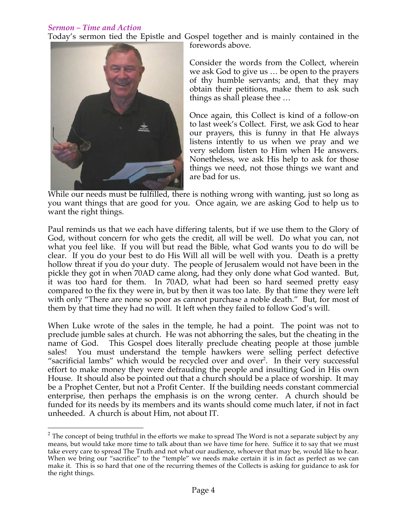## *Sermon – Time and Action*

Today's sermon tied the Epistle and Gospel together and is mainly contained in the



forewords above. Consider the words from the Collect, wherein

we ask God to give us … be open to the prayers of thy humble servants; and, that they may obtain their petitions, make them to ask such things as shall please thee …

Once again, this Collect is kind of a follow-on to last week's Collect. First, we ask God to hear our prayers, this is funny in that He always listens intently to us when we pray and we very seldom listen to Him when He answers. Nonetheless, we ask His help to ask for those things we need, not those things we want and are bad for us.

While our needs must be fulfilled, there is nothing wrong with wanting, just so long as you want things that are good for you. Once again, we are asking God to help us to want the right things.

Paul reminds us that we each have differing talents, but if we use them to the Glory of God, without concern for who gets the credit, all will be well. Do what you can, not what you feel like. If you will but read the Bible, what God wants you to do will be clear. If you do your best to do His Will all will be well with you. Death is a pretty hollow threat if you do your duty. The people of Jerusalem would not have been in the pickle they got in when 70AD came along, had they only done what God wanted. But, it was too hard for them. In 70AD, what had been so hard seemed pretty easy compared to the fix they were in, but by then it was too late. By that time they were left with only "There are none so poor as cannot purchase a noble death." But, for most of them by that time they had no will. It left when they failed to follow God's will.

When Luke wrote of the sales in the temple, he had a point. The point was not to preclude jumble sales at church. He was not abhorring the sales, but the cheating in the name of God. This Gospel does literally preclude cheating people at those jumble sales! You must understand the temple hawkers were selling perfect defective "sacrificial lambs" which would be recycled over and over<sup>2</sup>. In their very successful effort to make money they were defrauding the people and insulting God in His own House. It should also be pointed out that a church should be a place of worship. It may be a Prophet Center, but not a Profit Center. If the building needs constant commercial enterprise, then perhaps the emphasis is on the wrong center. A church should be funded for its needs by its members and its wants should come much later, if not in fact unheeded. A church is about Him, not about IT.

 $2$  The concept of being truthful in the efforts we make to spread The Word is not a separate subject by any means, but would take more time to talk about than we have time for here. Suffice it to say that we must take every care to spread The Truth and not what our audience, whoever that may be, would like to hear. When we bring our "sacrifice" to the "temple" we needs make certain it is in fact as perfect as we can make it. This is so hard that one of the recurring themes of the Collects is asking for guidance to ask for the right things.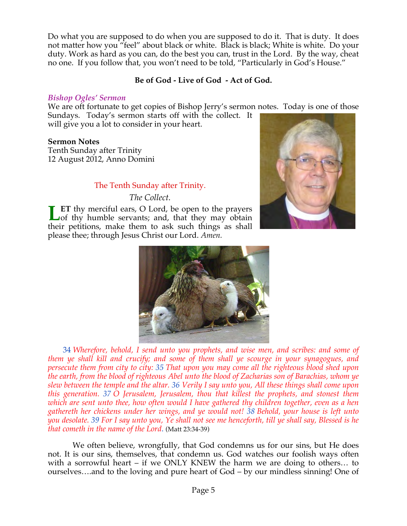Do what you are supposed to do when you are supposed to do it. That is duty. It does not matter how you "feel" about black or white. Black is black; White is white. Do your duty. Work as hard as you can, do the best you can, trust in the Lord. By the way, cheat no one. If you follow that, you won't need to be told, "Particularly in God's House."

# **Be of God - Live of God - Act of God.**

## *Bishop Ogles' Sermon*

We are oft fortunate to get copies of Bishop Jerry's sermon notes. Today is one of those Sundays. Today's sermon starts off with the collect. It will give you a lot to consider in your heart.

**Sermon Notes** 

Tenth Sunday after Trinity 12 August 2012, Anno Domini

# The Tenth Sunday after Trinity.

*The Collect.*

**ET** thy merciful ears, O Lord, be open to the prayers **Let** thy merciful ears, O Lord, be open to the prayers of thy humble servants; and, that they may obtain their petitions, make them to ask such things as shall please thee; through Jesus Christ our Lord. *Amen.*





 34 *Wherefore, behold, I send unto you prophets, and wise men, and scribes: and some of them ye shall kill and crucify; and some of them shall ye scourge in your synagogues, and persecute them from city to city: 35 That upon you may come all the righteous blood shed upon the earth, from the blood of righteous Abel unto the blood of Zacharias son of Barachias, whom ye slew between the temple and the altar. 36 Verily I say unto you, All these things shall come upon this generation. 37 O Jerusalem, Jerusalem, thou that killest the prophets, and stonest them which are sent unto thee, how often would I have gathered thy children together, even as a hen gathereth her chickens under her wings, and ye would not! 38 Behold, your house is left unto you desolate. 39 For I say unto you, Ye shall not see me henceforth, till ye shall say, Blessed is he that cometh in the name of the Lord*. (Matt 23:34-39)

 We often believe, wrongfully, that God condemns us for our sins, but He does not. It is our sins, themselves, that condemn us. God watches our foolish ways often with a sorrowful heart – if we ONLY KNEW the harm we are doing to others… to ourselves….and to the loving and pure heart of God – by our mindless sinning! One of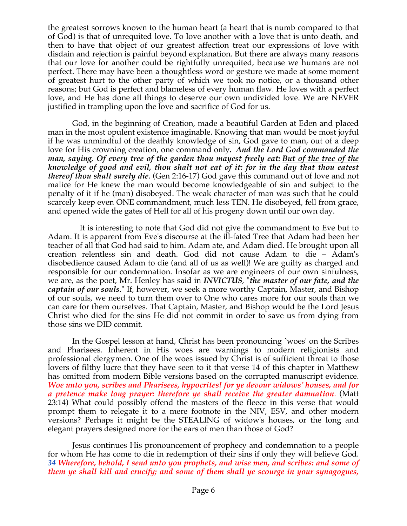the greatest sorrows known to the human heart (a heart that is numb compared to that of God) is that of unrequited love. To love another with a love that is unto death, and then to have that object of our greatest affection treat our expressions of love with disdain and rejection is painful beyond explanation. But there are always many reasons that our love for another could be rightfully unrequited, because we humans are not perfect. There may have been a thoughtless word or gesture we made at some moment of greatest hurt to the other party of which we took no notice, or a thousand other reasons; but God is perfect and blameless of every human flaw. He loves with a perfect love, and He has done all things to deserve our own undivided love. We are NEVER justified in trampling upon the love and sacrifice of God for us.

 God, in the beginning of Creation, made a beautiful Garden at Eden and placed man in the most opulent existence imaginable. Knowing that man would be most joyful if he was unmindful of the deathly knowledge of sin, God gave to man, out of a deep love for His crowning creation, one command only*. And the Lord God commanded the man, saying, Of every tree of the garden thou mayest freely eat: But of the tree of the knowledge of good and evil, thou shalt not eat of it: for in the day that thou eatest thereof thou shalt surely die*. (Gen 2:16-17) God gave this command out of love and not malice for He knew the man would become knowledgeable of sin and subject to the penalty of it if he (man) disobeyed. The weak character of man was such that he could scarcely keep even ONE commandment, much less TEN. He disobeyed, fell from grace, and opened wide the gates of Hell for all of his progeny down until our own day.

It is interesting to note that God did not give the commandment to Eve but to Adam. It is apparent from Eve's discourse at the ill-fated Tree that Adam had been her teacher of all that God had said to him. Adam ate, and Adam died. He brought upon all creation relentless sin and death. God did not cause Adam to die – Adam's disobedience caused Adam to die (and all of us as well)! We are guilty as charged and responsible for our condemnation. Insofar as we are engineers of our own sinfulness, we are, as the poet, Mr. Henley has said in *INVICTUS*, "*the master of our fate, and the captain of our souls*." If, however, we seek a more worthy Captain, Master, and Bishop of our souls, we need to turn them over to One who cares more for our souls than we can care for them ourselves. That Captain, Master, and Bishop would be the Lord Jesus Christ who died for the sins He did not commit in order to save us from dying from those sins we DID commit.

 In the Gospel lesson at hand, Christ has been pronouncing `woes' on the Scribes and Pharisees. Inherent in His woes are warnings to modern religionists and professional clergymen. One of the woes issued by Christ is of sufficient threat to those lovers of filthy lucre that they have seen to it that verse 14 of this chapter in Matthew has omitted from modern Bible versions based on the corrupted manuscript evidence. *Woe unto you, scribes and Pharisees, hypocrites! for ye devour widows' houses, and for a pretence make long prayer: therefore ye shall receive the greater damnation*. (Matt 23:14) What could possibly offend the masters of the fleece in this verse that would prompt them to relegate it to a mere footnote in the NIV, ESV, and other modern versions? Perhaps it might be the STEALING of widow's houses, or the long and elegant prayers designed more for the ears of men than those of God?

 Jesus continues His pronouncement of prophecy and condemnation to a people for whom He has come to die in redemption of their sins if only they will believe God. *34 Wherefore, behold, I send unto you prophets, and wise men, and scribes: and some of them ye shall kill and crucify; and some of them shall ye scourge in your synagogues,*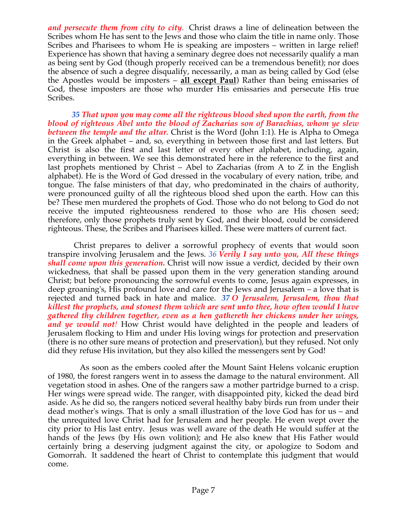*and persecute them from city to city*. Christ draws a line of delineation between the Scribes whom He has sent to the Jews and those who claim the title in name only. Those Scribes and Pharisees to whom He is speaking are imposters – written in large relief! Experience has shown that having a seminary degree does not necessarily qualify a man as being sent by God (though properly received can be a tremendous benefit); nor does the absence of such a degree disqualify, necessarily, a man as being called by God (else the Apostles would be imposters – **all except Paul**) Rather than being emissaries of God, these imposters are those who murder His emissaries and persecute His true Scribes.

 *35 That upon you may come all the righteous blood shed upon the earth, from the blood of righteous Abel unto the blood of Zacharias son of Barachias, whom ye slew between the temple and the altar.* Christ is the Word (John 1:1). He is Alpha to Omega in the Greek alphabet – and, so, everything in between those first and last letters. But Christ is also the first and last letter of every other alphabet, including, again, everything in between. We see this demonstrated here in the reference to the first and last prophets mentioned by Christ – Abel to Zacharias (from A to Z in the English alphabet). He is the Word of God dressed in the vocabulary of every nation, tribe, and tongue. The false ministers of that day, who predominated in the chairs of authority, were pronounced guilty of all the righteous blood shed upon the earth. How can this be? These men murdered the prophets of God. Those who do not belong to God do not receive the imputed righteousness rendered to those who are His chosen seed; therefore, only those prophets truly sent by God, and their blood, could be considered righteous. These, the Scribes and Pharisees killed. These were matters of current fact.

 Christ prepares to deliver a sorrowful prophecy of events that would soon transpire involving Jerusalem and the Jews. *36 Verily I say unto you, All these things shall come upon this generation.* Christ will now issue a verdict, decided by their own wickedness, that shall be passed upon them in the very generation standing around Christ; but before pronouncing the sorrowful events to come, Jesus again expresses, in deep groaning's, His profound love and care for the Jews and Jerusalem – a love that is rejected and turned back in hate and malice. *37 O Jerusalem, Jerusalem, thou that killest the prophets, and stonest them which are sent unto thee, how often would I have gathered thy children together, even as a hen gathereth her chickens under her wings, and ye would not!* How Christ would have delighted in the people and leaders of Jerusalem flocking to Him and under His loving wings for protection and preservation (there is no other sure means of protection and preservation), but they refused. Not only did they refuse His invitation, but they also killed the messengers sent by God!

As soon as the embers cooled after the Mount Saint Helens volcanic eruption of 1980, the forest rangers went in to assess the damage to the natural environment. All vegetation stood in ashes. One of the rangers saw a mother partridge burned to a crisp. Her wings were spread wide. The ranger, with disappointed pity, kicked the dead bird aside. As he did so, the rangers noticed several healthy baby birds run from under their dead mother's wings. That is only a small illustration of the love God has for us – and the unrequited love Christ had for Jerusalem and her people. He even wept over the city prior to His last entry. Jesus was well aware of the death He would suffer at the hands of the Jews (by His own volition); and He also knew that His Father would certainly bring a deserving judgment against the city, or apologize to Sodom and Gomorrah. It saddened the heart of Christ to contemplate this judgment that would come.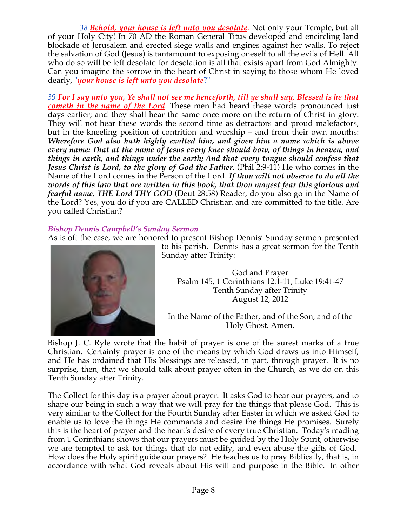*38 Behold, your house is left unto you desolate.* Not only your Temple, but all of your Holy City! In 70 AD the Roman General Titus developed and encircling land blockade of Jerusalem and erected siege walls and engines against her walls. To reject the salvation of God (Jesus) is tantamount to exposing oneself to all the evils of Hell. All who do so will be left desolate for desolation is all that exists apart from God Almighty. Can you imagine the sorrow in the heart of Christ in saying to those whom He loved dearly, "*your house is left unto you desolate*?"

*39 For I say unto you, Ye shall not see me henceforth, till ye shall say, Blessed is he that cometh in the name of the Lord*. These men had heard these words pronounced just days earlier; and they shall hear the same once more on the return of Christ in glory. They will not hear these words the second time as detractors and proud malefactors, but in the kneeling position of contrition and worship – and from their own mouths: *Wherefore God also hath highly exalted him, and given him a name which is above every name: That at the name of Jesus every knee should bow, of things in heaven, and things in earth, and things under the earth; And that every tongue should confess that Jesus Christ is Lord, to the glory of God the Father*. (Phil 2:9-11) He who comes in the Name of the Lord comes in the Person of the Lord. *If thou wilt not observe to do all the words of this law that are written in this book, that thou mayest fear this glorious and fearful name, THE Lord THY GOD* (Deut 28:58) Reader, do you also go in the Name of the Lord? Yes, you do if you are CALLED Christian and are committed to the title. Are you called Christian?

# *Bishop Dennis Campbell's Sunday Sermon*

As is oft the case, we are honored to present Bishop Dennis' Sunday sermon presented



to his parish. Dennis has a great sermon for the Tenth Sunday after Trinity:

God and Prayer Psalm 145, 1 Corinthians 12:1-11, Luke 19:41-47 Tenth Sunday after Trinity August 12, 2012

In the Name of the Father, and of the Son, and of the Holy Ghost. Amen.

Bishop J. C. Ryle wrote that the habit of prayer is one of the surest marks of a true Christian. Certainly prayer is one of the means by which God draws us into Himself, and He has ordained that His blessings are released, in part, through prayer. It is no surprise, then, that we should talk about prayer often in the Church, as we do on this Tenth Sunday after Trinity.

The Collect for this day is a prayer about prayer. It asks God to hear our prayers, and to shape our being in such a way that we will pray for the things that please God. This is very similar to the Collect for the Fourth Sunday after Easter in which we asked God to enable us to love the things He commands and desire the things He promises. Surely this is the heart of prayer and the heart's desire of every true Christian. Today's reading from 1 Corinthians shows that our prayers must be guided by the Holy Spirit, otherwise we are tempted to ask for things that do not edify, and even abuse the gifts of God. How does the Holy spirit guide our prayers? He teaches us to pray Biblically, that is, in accordance with what God reveals about His will and purpose in the Bible. In other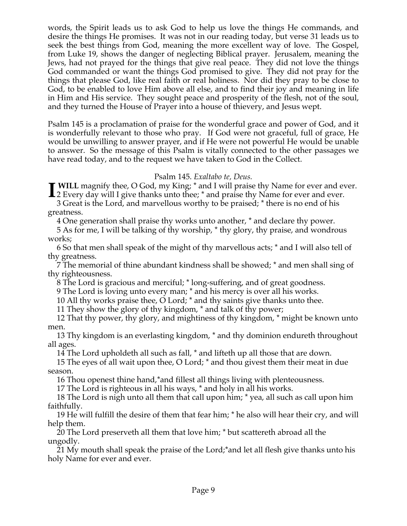words, the Spirit leads us to ask God to help us love the things He commands, and desire the things He promises. It was not in our reading today, but verse 31 leads us to seek the best things from God, meaning the more excellent way of love. The Gospel, from Luke 19, shows the danger of neglecting Biblical prayer. Jerusalem, meaning the Jews, had not prayed for the things that give real peace. They did not love the things God commanded or want the things God promised to give. They did not pray for the things that please God, like real faith or real holiness. Nor did they pray to be close to God, to be enabled to love Him above all else, and to find their joy and meaning in life in Him and His service. They sought peace and prosperity of the flesh, not of the soul, and they turned the House of Prayer into a house of thievery, and Jesus wept.

Psalm 145 is a proclamation of praise for the wonderful grace and power of God, and it is wonderfully relevant to those who pray. If God were not graceful, full of grace, He would be unwilling to answer prayer, and if He were not powerful He would be unable to answer. So the message of this Psalm is vitally connected to the other passages we have read today, and to the request we have taken to God in the Collect.

## Psalm 145. *Exaltabo te, Deus.*

 **WILL** magnify thee, O God, my King; \* and I will praise thy Name for ever and ever. **I** WILL magnify thee, O God, my King; \* and I will praise thy Name for ever and ever.<br>
2 Every day will I give thanks unto thee; \* and praise thy Name for ever and ever.

3 Great is the Lord, and marvellous worthy to be praised; \* there is no end of his greatness.

4 One generation shall praise thy works unto another, \* and declare thy power.

5 As for me, I will be talking of thy worship, \* thy glory, thy praise, and wondrous works;

6 So that men shall speak of the might of thy marvellous acts; \* and I will also tell of thy greatness.

7 The memorial of thine abundant kindness shall be showed; \* and men shall sing of thy righteousness.

8 The Lord is gracious and merciful; \* long-suffering, and of great goodness.

9 The Lord is loving unto every man; \* and his mercy is over all his works.

10 All thy works praise thee, O Lord; \* and thy saints give thanks unto thee.

11 They show the glory of thy kingdom, \* and talk of thy power;

12 That thy power, thy glory, and mightiness of thy kingdom, \* might be known unto men.

13 Thy kingdom is an everlasting kingdom, \* and thy dominion endureth throughout all ages.

14 The Lord upholdeth all such as fall, \* and lifteth up all those that are down.

15 The eyes of all wait upon thee, O Lord; \* and thou givest them their meat in due season.

16 Thou openest thine hand,\*and fillest all things living with plenteousness.

17 The Lord is righteous in all his ways, \* and holy in all his works.

18 The Lord is nigh unto all them that call upon him; \* yea, all such as call upon him faithfully.

19 He will fulfill the desire of them that fear him; \* he also will hear their cry, and will help them.

20 The Lord preserveth all them that love him; \* but scattereth abroad all the ungodly.

21 My mouth shall speak the praise of the Lord;\*and let all flesh give thanks unto his holy Name for ever and ever.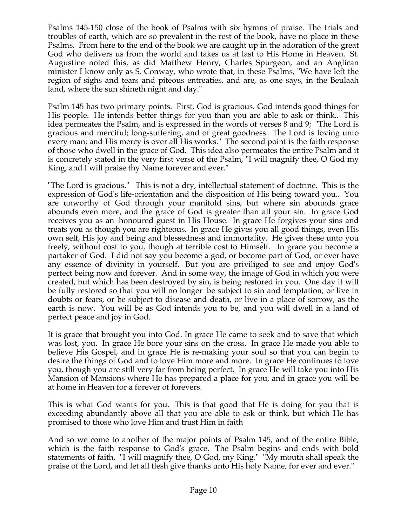Psalms 145-150 close of the book of Psalms with six hymns of praise. The trials and troubles of earth, which are so prevalent in the rest of the book, have no place in these Psalms. From here to the end of the book we are caught up in the adoration of the great God who delivers us from the world and takes us at last to His Home in Heaven. St. Augustine noted this, as did Matthew Henry, Charles Spurgeon, and an Anglican minister I know only as S. Conway, who wrote that, in these Psalms, "We have left the region of sighs and tears and piteous entreaties, and are, as one says, in the Beulaah land, where the sun shineth night and day."

Psalm 145 has two primary points. First, God is gracious. God intends good things for His people. He intends better things for you than you are able to ask or think.. This idea permeates the Psalm, and is expressed in the words of verses 8 and 9; "The Lord is gracious and merciful; long-suffering, and of great goodness. The Lord is loving unto every man; and His mercy is over all His works." The second point is the faith response of those who dwell in the grace of God. This idea also permeates the entire Psalm and it is concretely stated in the very first verse of the Psalm, "I will magnify thee, O God my King, and I will praise thy Name forever and ever."

"The Lord is gracious." This is not a dry, intellectual statement of doctrine. This is the expression of God's life-orientation and the disposition of His being toward you.. You are unworthy of God through your manifold sins, but where sin abounds grace abounds even more, and the grace of God is greater than all your sin. In grace God receives you as an honoured guest in His House. In grace He forgives your sins and treats you as though you are righteous. In grace He gives you all good things, even His own self, His joy and being and blessedness and immortality. He gives these unto you freely, without cost to you, though at terrible cost to Himself. In grace you become a partaker of God. I did not say you become a god, or become part of God, or ever have any essence of divinity in yourself. But you are priviliged to see and enjoy God's perfect being now and forever. And in some way, the image of God in which you were created, but which has been destroyed by sin, is being restored in you. One day it will be fully restored so that you will no longer be subject to sin and temptation, or live in doubts or fears, or be subject to disease and death, or live in a place of sorrow, as the earth is now. You will be as God intends you to be, and you will dwell in a land of perfect peace and joy in God.

It is grace that brought you into God. In grace He came to seek and to save that which was lost, you. In grace He bore your sins on the cross. In grace He made you able to believe His Gospel, and in grace He is re-making your soul so that you can begin to desire the things of God and to love Him more and more. In grace He continues to love you, though you are still very far from being perfect. In grace He will take you into His Mansion of Mansions where He has prepared a place for you, and in grace you will be at home in Heaven for a forever of forevers.

This is what God wants for you. This is that good that He is doing for you that is exceeding abundantly above all that you are able to ask or think, but which He has promised to those who love Him and trust Him in faith

And so we come to another of the major points of Psalm 145, and of the entire Bible, which is the faith response to God's grace. The Psalm begins and ends with bold statements of faith. "I will magnify thee, O God, my King." "My mouth shall speak the praise of the Lord, and let all flesh give thanks unto His holy Name, for ever and ever."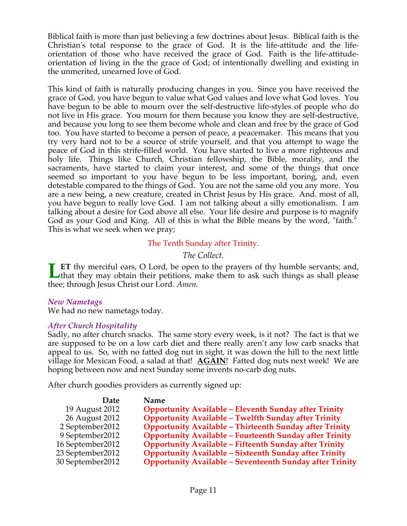Biblical faith is more than just believing a few doctrines about Jesus. Biblical faith is the Christian's total response to the grace of God. It is the life-attitude and the lifeorientation of those who have received the grace of God. Faith is the life-attitudeorientation of living in the the grace of God; of intentionally dwelling and existing in the unmerited, unearned love of God.

This kind of faith is naturally producing changes in you. Since you have received the grace of God, you have begun to value what God values and love what God loves. You have begun to be able to mourn over the self-destructive life-styles of people who do not live in His grace. You mourn for them because you know they are self-destructive, and because you long to see them become whole and clean and free by the grace of God too. You have started to become a person of peace, a peacemaker. This means that you try very hard not to be a source of strife yourself, and that you attempt to wage the peace of God in this strife-filled world. You have started to live a more righteous and holy life. Things like Church, Christian fellowship, the Bible, morality, and the sacraments, have started to claim your interest, and some of the things that once seemed so important to you have begun to be less important, boring, and, even detestable compared to the things of God. You are not the same old you any more. You are a new being, a new creature, created in Christ Jesus by His grace. And. most of all, you have begun to really love God. I am not talking about a silly emotionalism. I am talking about a desire for God above all else. Your life desire and purpose is to magnify God as your God and King. All of this is what the Bible means by the word, "faith." This is what we seek when we pray;

## The Tenth Sunday after Trinity.

*The Collect.*

**ET** thy merciful ears, O Lord, be open to the prayers of thy humble servants; and, **Let** thy merciful ears, O Lord, be open to the prayers of thy humble servants; and, that they may obtain their petitions, make them to ask such things as shall please thee; through Jesus Christ our Lord. *Amen.*

## *New Nametags*

We had no new nametags today.

# *After Church Hospitality*

Sadly, no after church snacks. The same story every week, is it not? The fact is that we are supposed to be on a low carb diet and there really aren't any low carb snacks that appeal to us. So, with no fatted dog nut in sight, it was down the hill to the next little village for Mexican Food, a salad at that! **AGAIN**! Fatted dog nuts next week! We are hoping between now and next Sunday some invents no-carb dog nuts.

After church goodies providers as currently signed up:

| <b>Date</b>       | <b>Name</b>                                                     |
|-------------------|-----------------------------------------------------------------|
| 19 August 2012    | <b>Opportunity Available - Eleventh Sunday after Trinity</b>    |
| 26 August 2012    | <b>Opportunity Available - Twelfth Sunday after Trinity</b>     |
| 2 September 2012  | <b>Opportunity Available - Thirteenth Sunday after Trinity</b>  |
| 9 September 2012  | <b>Opportunity Available - Fourteenth Sunday after Trinity</b>  |
| 16 September 2012 | <b>Opportunity Available - Fifteenth Sunday after Trinity</b>   |
| 23 September 2012 | <b>Opportunity Available - Sixteenth Sunday after Trinity</b>   |
| 30 September 2012 | <b>Opportunity Available - Seventeenth Sunday after Trinity</b> |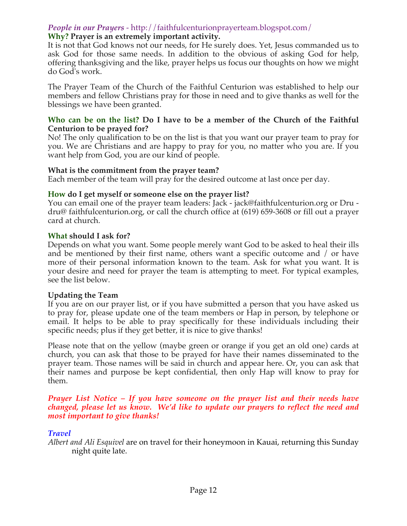# *People in our Prayers* - http://faithfulcenturionprayerteam.blogspot.com/

## **Why? Prayer is an extremely important activity.**

It is not that God knows not our needs, for He surely does. Yet, Jesus commanded us to ask God for those same needs. In addition to the obvious of asking God for help, offering thanksgiving and the like, prayer helps us focus our thoughts on how we might do God's work.

The Prayer Team of the Church of the Faithful Centurion was established to help our members and fellow Christians pray for those in need and to give thanks as well for the blessings we have been granted.

#### **Who can be on the list? Do I have to be a member of the Church of the Faithful Centurion to be prayed for?**

No! The only qualification to be on the list is that you want our prayer team to pray for you. We are Christians and are happy to pray for you, no matter who you are. If you want help from God, you are our kind of people.

## **What is the commitment from the prayer team?**

Each member of the team will pray for the desired outcome at last once per day.

## **How do I get myself or someone else on the prayer list?**

You can email one of the prayer team leaders: Jack - jack@faithfulcenturion.org or Dru dru@ faithfulcenturion.org, or call the church office at (619) 659-3608 or fill out a prayer card at church.

#### **What should I ask for?**

Depends on what you want. Some people merely want God to be asked to heal their ills and be mentioned by their first name, others want a specific outcome and / or have more of their personal information known to the team. Ask for what you want. It is your desire and need for prayer the team is attempting to meet. For typical examples, see the list below.

## **Updating the Team**

If you are on our prayer list, or if you have submitted a person that you have asked us to pray for, please update one of the team members or Hap in person, by telephone or email. It helps to be able to pray specifically for these individuals including their specific needs; plus if they get better, it is nice to give thanks!

Please note that on the yellow (maybe green or orange if you get an old one) cards at church, you can ask that those to be prayed for have their names disseminated to the prayer team. Those names will be said in church and appear here. Or, you can ask that their names and purpose be kept confidential, then only Hap will know to pray for them.

#### *Prayer List Notice – If you have someone on the prayer list and their needs have changed, please let us know. We'd like to update our prayers to reflect the need and most important to give thanks!*

## *Travel*

*Albert and Ali Esquivel* are on travel for their honeymoon in Kauai, returning this Sunday night quite late.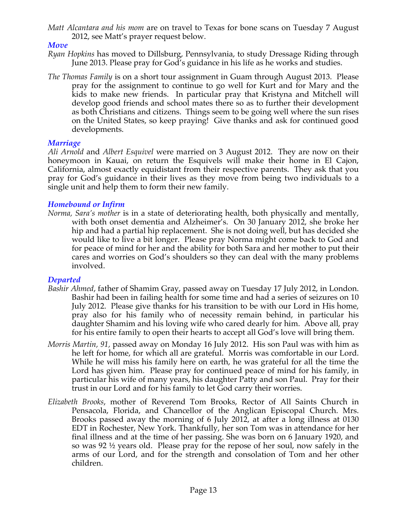*Matt Alcantara and his mom* are on travel to Texas for bone scans on Tuesday 7 August 2012, see Matt's prayer request below.

# *Move*

- *Ryan Hopkins* has moved to Dillsburg, Pennsylvania, to study Dressage Riding through June 2013. Please pray for God's guidance in his life as he works and studies.
- *The Thomas Family* is on a short tour assignment in Guam through August 2013. Please pray for the assignment to continue to go well for Kurt and for Mary and the kids to make new friends. In particular pray that Kristyna and Mitchell will develop good friends and school mates there so as to further their development as both Christians and citizens. Things seem to be going well where the sun rises on the United States, so keep praying! Give thanks and ask for continued good developments.

## *Marriage*

*Ali Arnold* and *Albert Esquivel* were married on 3 August 2012. They are now on their honeymoon in Kauai, on return the Esquivels will make their home in El Cajon, California, almost exactly equidistant from their respective parents. They ask that you pray for God's guidance in their lives as they move from being two individuals to a single unit and help them to form their new family.

# *Homebound or Infirm*

*Norma, Sara's mother* is in a state of deteriorating health, both physically and mentally, with both onset dementia and Alzheimer's. On 30 January 2012, she broke her hip and had a partial hip replacement. She is not doing well, but has decided she would like to live a bit longer. Please pray Norma might come back to God and for peace of mind for her and the ability for both Sara and her mother to put their cares and worries on God's shoulders so they can deal with the many problems involved.

# *Departed*

- *Bashir Ahmed*, father of Shamim Gray, passed away on Tuesday 17 July 2012, in London. Bashir had been in failing health for some time and had a series of seizures on 10 July 2012. Please give thanks for his transition to be with our Lord in His home, pray also for his family who of necessity remain behind, in particular his daughter Shamim and his loving wife who cared dearly for him. Above all, pray for his entire family to open their hearts to accept all God's love will bring them.
- *Morris Martin, 91,* passed away on Monday 16 July 2012. His son Paul was with him as he left for home, for which all are grateful. Morris was comfortable in our Lord. While he will miss his family here on earth, he was grateful for all the time the Lord has given him. Please pray for continued peace of mind for his family, in particular his wife of many years, his daughter Patty and son Paul. Pray for their trust in our Lord and for his family to let God carry their worries.
- *Elizabeth Brooks*, mother of Reverend Tom Brooks, Rector of All Saints Church in Pensacola, Florida, and Chancellor of the Anglican Episcopal Church. Mrs. Brooks passed away the morning of 6 July 2012, at after a long illness at 0130 EDT in Rochester, New York. Thankfully, her son Tom was in attendance for her final illness and at the time of her passing. She was born on 6 January 1920, and so was 92 ½ years old. Please pray for the repose of her soul, now safely in the arms of our Lord, and for the strength and consolation of Tom and her other children.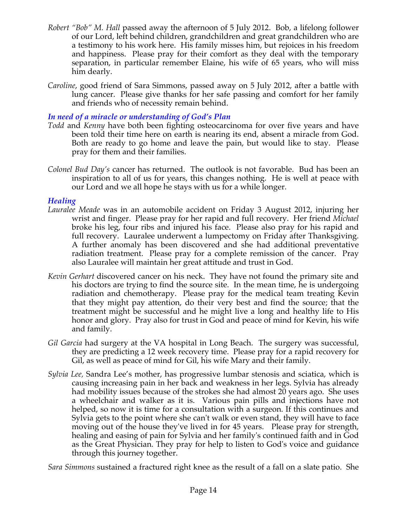- *Robert "Bob" M. Hall* passed away the afternoon of 5 July 2012. Bob, a lifelong follower of our Lord, left behind children, grandchildren and great grandchildren who are a testimony to his work here. His family misses him, but rejoices in his freedom and happiness. Please pray for their comfort as they deal with the temporary separation, in particular remember Elaine, his wife of 65 years, who will miss him dearly.
- *Caroline*, good friend of Sara Simmons, passed away on 5 July 2012, after a battle with lung cancer. Please give thanks for her safe passing and comfort for her family and friends who of necessity remain behind.

# *In need of a miracle or understanding of God's Plan*

- *Todd* and *Kenny* have both been fighting osteocarcinoma for over five years and have been told their time here on earth is nearing its end, absent a miracle from God. Both are ready to go home and leave the pain, but would like to stay. Please pray for them and their families.
- *Colonel Bud Day's* cancer has returned. The outlook is not favorable. Bud has been an inspiration to all of us for years, this changes nothing. He is well at peace with our Lord and we all hope he stays with us for a while longer.

# *Healing*

- *Lauralee Meade* was in an automobile accident on Friday 3 August 2012, injuring her wrist and finger. Please pray for her rapid and full recovery. Her friend *Michael* broke his leg, four ribs and injured his face. Please also pray for his rapid and full recovery. Lauralee underwent a lumpectomy on Friday after Thanksgiving. A further anomaly has been discovered and she had additional preventative radiation treatment. Please pray for a complete remission of the cancer. Pray also Lauralee will maintain her great attitude and trust in God.
- *Kevin Gerhart* discovered cancer on his neck. They have not found the primary site and his doctors are trying to find the source site. In the mean time, he is undergoing radiation and chemotherapy. Please pray for the medical team treating Kevin that they might pay attention, do their very best and find the source; that the treatment might be successful and he might live a long and healthy life to His honor and glory. Pray also for trust in God and peace of mind for Kevin, his wife and family.
- *Gil Garcia* had surgery at the VA hospital in Long Beach. The surgery was successful, they are predicting a 12 week recovery time. Please pray for a rapid recovery for Gil, as well as peace of mind for Gil, his wife Mary and their family.
- *Sylvia Lee,* Sandra Lee's mother, has progressive lumbar stenosis and sciatica, which is causing increasing pain in her back and weakness in her legs. Sylvia has already had mobility issues because of the strokes she had almost 20 years ago. She uses a wheelchair and walker as it is. Various pain pills and injections have not helped, so now it is time for a consultation with a surgeon. If this continues and Sylvia gets to the point where she can't walk or even stand, they will have to face moving out of the house they've lived in for 45 years. Please pray for strength, healing and easing of pain for Sylvia and her family's continued faith and in God as the Great Physician. They pray for help to listen to God's voice and guidance through this journey together.

*Sara Simmons* sustained a fractured right knee as the result of a fall on a slate patio. She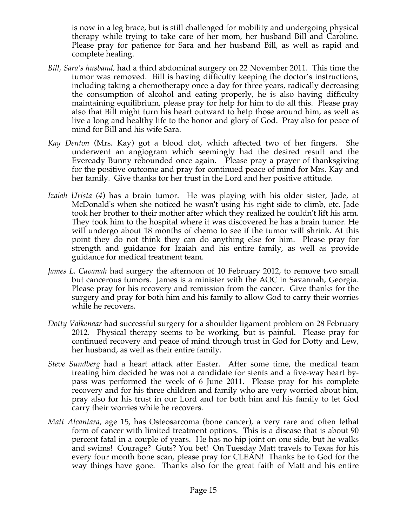is now in a leg brace, but is still challenged for mobility and undergoing physical therapy while trying to take care of her mom, her husband Bill and Caroline. Please pray for patience for Sara and her husband Bill, as well as rapid and complete healing.

- *Bill, Sara's husband,* had a third abdominal surgery on 22 November 2011. This time the tumor was removed. Bill is having difficulty keeping the doctor's instructions, including taking a chemotherapy once a day for three years, radically decreasing the consumption of alcohol and eating properly, he is also having difficulty maintaining equilibrium, please pray for help for him to do all this. Please pray also that Bill might turn his heart outward to help those around him, as well as live a long and healthy life to the honor and glory of God. Pray also for peace of mind for Bill and his wife Sara.
- *Kay Denton* (Mrs. Kay) got a blood clot, which affected two of her fingers. She underwent an angiogram which seemingly had the desired result and the Eveready Bunny rebounded once again. Please pray a prayer of thanksgiving for the positive outcome and pray for continued peace of mind for Mrs. Kay and her family. Give thanks for her trust in the Lord and her positive attitude.
- *Izaiah Urista (4*) has a brain tumor. He was playing with his older sister, Jade, at McDonald's when she noticed he wasn't using his right side to climb, etc. Jade took her brother to their mother after which they realized he couldn't lift his arm. They took him to the hospital where it was discovered he has a brain tumor. He will undergo about 18 months of chemo to see if the tumor will shrink. At this point they do not think they can do anything else for him. Please pray for strength and guidance for Izaiah and his entire family, as well as provide guidance for medical treatment team.
- *James L. Cavanah* had surgery the afternoon of 10 February 2012, to remove two small but cancerous tumors. James is a minister with the AOC in Savannah, Georgia. Please pray for his recovery and remission from the cancer. Give thanks for the surgery and pray for both him and his family to allow God to carry their worries while he recovers.
- *Dotty Valkenaar* had successful surgery for a shoulder ligament problem on 28 February 2012. Physical therapy seems to be working, but is painful. Please pray for continued recovery and peace of mind through trust in God for Dotty and Lew, her husband, as well as their entire family.
- *Steve Sundberg* had a heart attack after Easter. After some time, the medical team treating him decided he was not a candidate for stents and a five-way heart bypass was performed the week of 6 June 2011. Please pray for his complete recovery and for his three children and family who are very worried about him, pray also for his trust in our Lord and for both him and his family to let God carry their worries while he recovers.
- *Matt Alcantara*, age 15, has Osteosarcoma (bone cancer), a very rare and often lethal form of cancer with limited treatment options. This is a disease that is about 90 percent fatal in a couple of years. He has no hip joint on one side, but he walks and swims! Courage? Guts? You bet! On Tuesday Matt travels to Texas for his every four month bone scan, please pray for CLEAN! Thanks be to God for the way things have gone. Thanks also for the great faith of Matt and his entire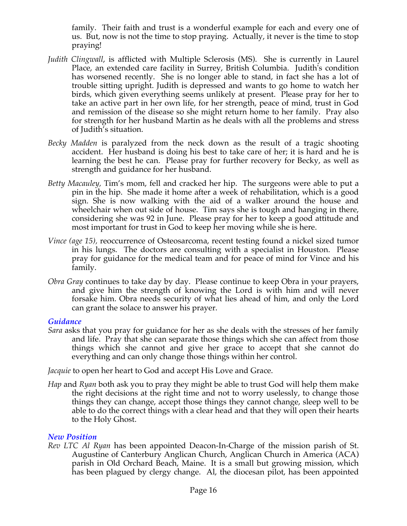family. Their faith and trust is a wonderful example for each and every one of us. But, now is not the time to stop praying. Actually, it never is the time to stop praying!

- *Judith Clingwall*, is afflicted with Multiple Sclerosis (MS). She is currently in Laurel Place, an extended care facility in Surrey, British Columbia. Judith's condition has worsened recently. She is no longer able to stand, in fact she has a lot of trouble sitting upright. Judith is depressed and wants to go home to watch her birds, which given everything seems unlikely at present. Please pray for her to take an active part in her own life, for her strength, peace of mind, trust in God and remission of the disease so she might return home to her family. Pray also for strength for her husband Martin as he deals with all the problems and stress of Judith's situation.
- *Becky Madden* is paralyzed from the neck down as the result of a tragic shooting accident. Her husband is doing his best to take care of her; it is hard and he is learning the best he can. Please pray for further recovery for Becky, as well as strength and guidance for her husband.
- *Betty Macauley,* Tim's mom, fell and cracked her hip. The surgeons were able to put a pin in the hip. She made it home after a week of rehabilitation, which is a good sign. She is now walking with the aid of a walker around the house and wheelchair when out side of house. Tim says she is tough and hanging in there, considering she was 92 in June. Please pray for her to keep a good attitude and most important for trust in God to keep her moving while she is here.
- *Vince (age 15),* reoccurrence of Osteosarcoma, recent testing found a nickel sized tumor in his lungs. The doctors are consulting with a specialist in Houston. Please pray for guidance for the medical team and for peace of mind for Vince and his family.
- *Obra Gray* continues to take day by day. Please continue to keep Obra in your prayers, and give him the strength of knowing the Lord is with him and will never forsake him. Obra needs security of what lies ahead of him, and only the Lord can grant the solace to answer his prayer.

## *Guidance*

*Sara* asks that you pray for guidance for her as she deals with the stresses of her family and life. Pray that she can separate those things which she can affect from those things which she cannot and give her grace to accept that she cannot do everything and can only change those things within her control.

*Jacquie* to open her heart to God and accept His Love and Grace.

*Hap* and *Ryan* both ask you to pray they might be able to trust God will help them make the right decisions at the right time and not to worry uselessly, to change those things they can change, accept those things they cannot change, sleep well to be able to do the correct things with a clear head and that they will open their hearts to the Holy Ghost.

# *New Position*

*Rev LTC Al Ryan* has been appointed Deacon-In-Charge of the mission parish of St. Augustine of Canterbury Anglican Church, Anglican Church in America (ACA) parish in Old Orchard Beach, Maine. It is a small but growing mission, which has been plagued by clergy change. Al, the diocesan pilot, has been appointed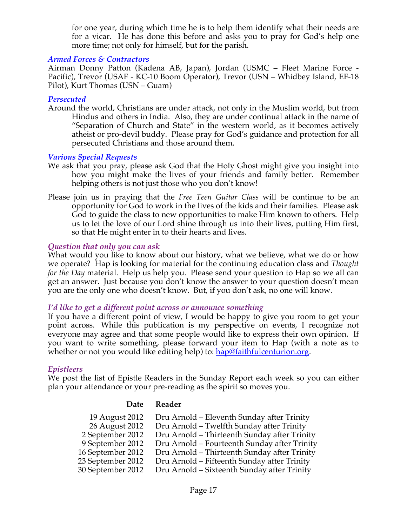for one year, during which time he is to help them identify what their needs are for a vicar. He has done this before and asks you to pray for God's help one more time; not only for himself, but for the parish.

#### *Armed Forces & Contractors*

Airman Donny Patton (Kadena AB, Japan), Jordan (USMC – Fleet Marine Force - Pacific), Trevor (USAF - KC-10 Boom Operator), Trevor (USN – Whidbey Island, EF-18 Pilot), Kurt Thomas (USN – Guam)

#### *Persecuted*

Around the world, Christians are under attack, not only in the Muslim world, but from Hindus and others in India. Also, they are under continual attack in the name of "Separation of Church and State" in the western world, as it becomes actively atheist or pro-devil buddy. Please pray for God's guidance and protection for all persecuted Christians and those around them.

#### *Various Special Requests*

- We ask that you pray, please ask God that the Holy Ghost might give you insight into how you might make the lives of your friends and family better. Remember helping others is not just those who you don't know!
- Please join us in praying that the *Free Teen Guitar Class* will be continue to be an opportunity for God to work in the lives of the kids and their families. Please ask God to guide the class to new opportunities to make Him known to others. Help us to let the love of our Lord shine through us into their lives, putting Him first, so that He might enter in to their hearts and lives.

#### *Question that only you can ask*

What would you like to know about our history, what we believe, what we do or how we operate? Hap is looking for material for the continuing education class and *Thought for the Day* material. Help us help you. Please send your question to Hap so we all can get an answer. Just because you don't know the answer to your question doesn't mean you are the only one who doesn't know. But, if you don't ask, no one will know.

#### *I'd like to get a different point across or announce something*

If you have a different point of view, I would be happy to give you room to get your point across. While this publication is my perspective on events, I recognize not everyone may agree and that some people would like to express their own opinion. If you want to write something, please forward your item to Hap (with a note as to whether or not you would like editing help) to: hap@faithfulcenturion.org.

#### *Epistleers*

We post the list of Epistle Readers in the Sunday Report each week so you can either plan your attendance or your pre-reading as the spirit so moves you.

#### **Date Reader**

| 19 August 2012    | Dru Arnold – Eleventh Sunday after Trinity   |
|-------------------|----------------------------------------------|
| 26 August 2012    | Dru Arnold - Twelfth Sunday after Trinity    |
| 2 September 2012  | Dru Arnold – Thirteenth Sunday after Trinity |
| 9 September 2012  | Dru Arnold – Fourteenth Sunday after Trinity |
| 16 September 2012 | Dru Arnold – Thirteenth Sunday after Trinity |
| 23 September 2012 | Dru Arnold – Fifteenth Sunday after Trinity  |
| 30 September 2012 | Dru Arnold – Sixteenth Sunday after Trinity  |
|                   |                                              |